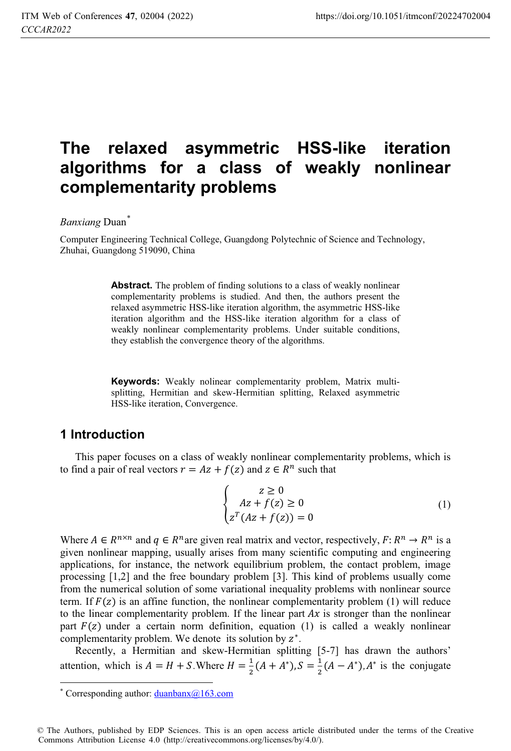# **The relaxed asymmetric HSS-like iteration algorithms for a class of weakly nonlinear complementarity problems**

### *Banxiang* Duan\*

Computer Engineering Technical College, Guangdong Polytechnic of Science and Technology, Zhuhai, Guangdong 519090, China

> Abstract. The problem of finding solutions to a class of weakly nonlinear complementarity problems is studied. And then, the authors present the relaxed asymmetric HSS-like iteration algorithm, the asymmetric HSS-like iteration algorithm and the HSS-like iteration algorithm for a class of weakly nonlinear complementarity problems. Under suitable conditions, they establish the convergence theory of the algorithms.

> **Keywords:** Weakly nolinear complementarity problem, Matrix multisplitting, Hermitian and skew-Hermitian splitting, Relaxed asymmetric HSS-like iteration, Convergence.

### **1 Introduction**

This paper focuses on a class of weakly nonlinear complementarity problems, which is to find a pair of real vectors  $r = Az + f(z)$  and  $z \in R^n$  such that

$$
\begin{cases}\n z \ge 0 \\
Az + f(z) \ge 0 \\
z^T(Az + f(z)) = 0\n\end{cases}
$$
\n(1)

Where  $A \in R^{n \times n}$  and  $q \in R^n$  are given real matrix and vector, respectively,  $F: R^n \to R^n$  is a given nonlinear mapping, usually arises from many scientific computing and engineering applications, for instance, the network equilibrium problem, the contact problem, image processing [1,2] and the free boundary problem [3]. This kind of problems usually come from the numerical solution of some variational inequality problems with nonlinear source term. If  $F(z)$  is an affine function, the nonlinear complementarity problem (1) will reduce to the linear complementarity problem. If the linear part  $Ax$  is stronger than the nonlinear part  $F(z)$  under a certain norm definition, equation (1) is called a weakly nonlinear complementarity problem. We denote its solution by  $z^*$ .

Recently, a Hermitian and skew-Hermitian splitting [5-7] has drawn the authors' attention, which is  $A = H + S$ . Where  $H = \frac{1}{2}(A + A^*)$ ,  $S = \frac{1}{2}(A - A^*)$ ,  $A^*$  is the conjugate

 $\overline{a}$ \* Corresponding author:  $duanbanx@163.com$ 

<sup>©</sup> The Authors, published by EDP Sciences. This is an open access article distributed under the terms of the Creative Commons Attribution License 4.0 (http://creativecommons.org/licenses/by/4.0/).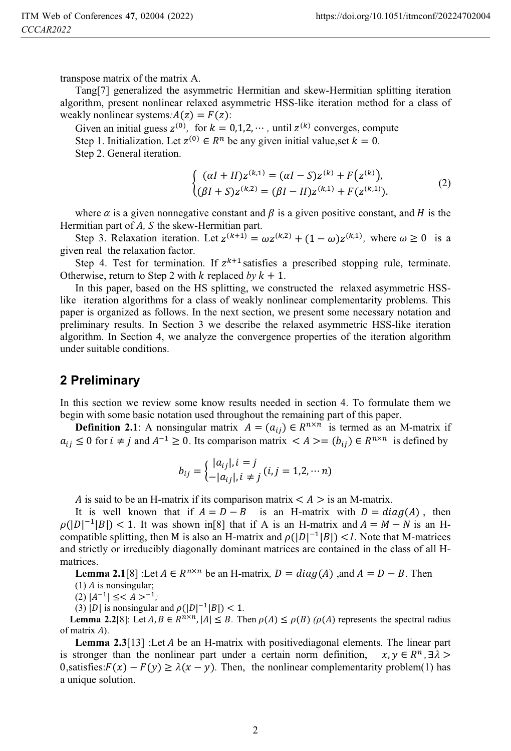transpose matrix of the matrix A.

Tang[7] generalized the asymmetric Hermitian and skew-Hermitian splitting iteration algorithm, present nonlinear relaxed asymmetric HSS-like iteration method for a class of weakly nonlinear systems: $A(z) = F(z)$ :

Given an initial guess  $z^{(0)}$ , for  $k = 0, 1, 2, \cdots$ , until  $z^{(k)}$  converges, compute Step 1. Initialization. Let  $z^{(0)} \in R^n$  be any given initial value, set  $k = 0$ .

Step 2. General iteration.

$$
\begin{cases} ( \alpha I + H ) z^{(k,1)} = ( \alpha I - S ) z^{(k)} + F \big( z^{(k)} \big), \\ ( \beta I + S ) z^{(k,2)} = ( \beta I - H ) z^{(k,1)} + F \big( z^{(k,1)} \big). \end{cases} \tag{2}
$$

where  $\alpha$  is a given nonnegative constant and  $\beta$  is a given positive constant, and H is the Hermitian part of *A*, *S* the skew-Hermitian part.

Step 3. Relaxation iteration. Let  $z^{(k+1)} = \omega z^{(k,2)} + (1 - \omega)z^{(k,1)}$ , where  $\omega \ge 0$  is a given real the relaxation factor.

Step 4. Test for termination. If  $z^{k+1}$  satisfies a prescribed stopping rule, terminate. Otherwise, return to Step 2 with  $k$  replaced  $b\nu k + 1$ .

In this paper, based on the HS splitting, we constructed the relaxed asymmetric HSSlike iteration algorithms for a class of weakly nonlinear complementarity problems. This paper is organized as follows. In the next section, we present some necessary notation and preliminary results. In Section 3 we describe the relaxed asymmetric HSS-like iteration algorithm. In Section 4, we analyze the convergence properties of the iteration algorithm under suitable conditions.

### **2 Preliminary**

In this section we review some know results needed in section 4. To formulate them we begin with some basic notation used throughout the remaining part of this paper.

**Definition 2.1**: A nonsingular matrix  $A = (a_{ij}) \in R^{n \times n}$  is termed as an M-matrix if  $a_{ij} \le 0$  for  $i \ne j$  and  $A^{-1} \ge 0$ . Its comparison matrix  $\langle A \rangle = (b_{ij}) \in R^{n \times n}$  is defined by

$$
b_{ij} = \begin{cases} |a_{ij}|, i = j \\ -|a_{ij}|, i \neq j \end{cases} (i, j = 1, 2, \cdots n)
$$

A is said to be an H-matrix if its comparison matrix  $\langle A \rangle$  is an M-matrix.

It is well known that if  $A = D - B$  is an H-matrix with  $D = diag(A)$ , then  $\rho(|D|^{-1}|B|) < 1$ . It was shown in[8] that if A is an H-matrix and  $A = M - N$  is an Hcompatible splitting, then M is also an H-matrix and  $\rho(|D|^{-1}|B|) < I$ . Note that M-matrices and strictly or irreducibly diagonally dominant matrices are contained in the class of all Hmatrices.

**Lemma 2.1**[8] :Let  $A \in \mathbb{R}^{n \times n}$  be an H-matrix,  $D = diag(A)$  ,and  $A = D - B$ . Then

 $(1)$  A is nonsingular;

 $(2)$   $|A^{-1}| \leq A >^{-1}$ ;

(3) |*D*| is nonsingular and  $\rho(|D|^{-1}|B|) < 1$ .

**Lemma 2.2**[8]: Let  $A, B \in R^{n \times n}$ ,  $|A| \leq B$ . Then  $\rho(A) \leq \rho(B)$  ( $\rho(A)$ ) represents the spectral radius of matrix  $A$ ).

**Lemma 2.3**[13] :Let *A* be an H-matrix with positivediagonal elements. The linear part stronger than the nonlinear part under a certain norm definition,  $x, y \in R^n$ ,  $\exists \lambda$ is stronger than the nonlinear part under a certain norm definition, 0, satisfies:  $F(x) - F(y) \ge \lambda(x - y)$ . Then, the nonlinear complementarity problem(1) has a unique solution.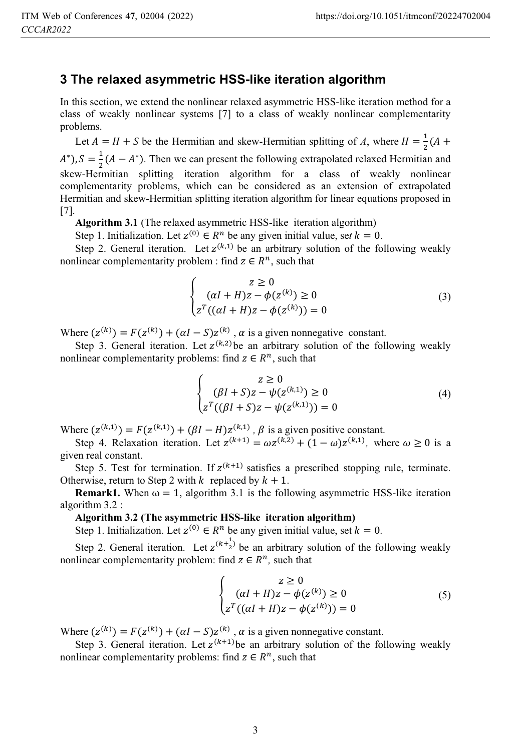### **3 The relaxed asymmetric HSS-like iteration algorithm**

In this section, we extend the nonlinear relaxed asymmetric HSS-like iteration method for a class of weakly nonlinear systems [7] to a class of weakly nonlinear complementarity problems.

Let  $A = H + S$  be the Hermitian and skew-Hermitian splitting of A, where  $H = \frac{1}{2}(A +$  $(A^*), S = \frac{1}{2}(A - A^*)$ . Then we can present the following extrapolated relaxed Hermitian and skew-Hermitian splitting iteration algorithm for a class of weakly nonlinear complementarity problems, which can be considered as an extension of extrapolated Hermitian and skew-Hermitian splitting iteration algorithm for linear equations proposed in [7].

**Algorithm 3.1** (The relaxed asymmetric HSS-like iteration algorithm)

Step 1. Initialization. Let  $z^{(0)} \in R^n$  be any given initial value, set  $k = 0$ .

Step 2. General iteration. Let  $z^{(k,1)}$  be an arbitrary solution of the following weakly nonlinear complementarity problem : find  $z \in R^n$ , such that

$$
\begin{cases}\n z \ge 0 \\
(aI + H)z - \phi(z^{(k)}) \ge 0 \\
z^T((aI + H)z - \phi(z^{(k)})) = 0\n\end{cases}
$$
\n(3)

Where  $(z^{(k)}) = F(z^{(k)}) + (\alpha I - S)z^{(k)}$ ,  $\alpha$  is a given nonnegative constant.

Step 3. General iteration. Let  $z^{(k,2)}$  be an arbitrary solution of the following weakly nonlinear complementarity problems: find  $z \in \mathbb{R}^n$ , such that

$$
\begin{cases}\n z \ge 0 \\
(\beta I + S)z - \psi(z^{(k,1)}) \ge 0 \\
z^T((\beta I + S)z - \psi(z^{(k,1)})) = 0\n\end{cases}
$$
\n(4)

Where  $(z^{(k,1)}) = F(z^{(k,1)}) + (\beta I - H)z^{(k,1)}$ ,  $\beta$  is a given positive constant.

Step 4. Relaxation iteration. Let  $z^{(k+1)} = \omega z^{(k,2)} + (1 - \omega)z^{(k,1)}$ , where  $\omega \ge 0$  is a given real constant.

Step 5. Test for termination. If  $z^{(k+1)}$  satisfies a prescribed stopping rule, terminate. Otherwise, return to Step 2 with *k* replaced by  $k + 1$ .

**Remark1.** When  $\omega = 1$ , algorithm 3.1 is the following asymmetric HSS-like iteration algorithm 3.2 :

Step 1. Initialization. Let  $z^{(0)} \in R^n$  be any given initial value, set  $k = 0$ .

Step 2. General iteration. Let  $z^{(k+\frac{1}{2})}$  be an arbitrary solution of the following weakly nonlinear complementarity problem: find  $z \in \mathbb{R}^n$ , such that

$$
\begin{cases}\n z \ge 0 \\
(aI + H)z - \phi(z^{(k)}) \ge 0 \\
z^T((\alpha I + H)z - \phi(z^{(k)})) = 0\n\end{cases}
$$
\n(5)

Where  $(z^{(k)}) = F(z^{(k)}) + (\alpha I - S)z^{(k)}$ ,  $\alpha$  is a given nonnegative constant.

Step 3. General iteration. Let  $z^{(k+1)}$  be an arbitrary solution of the following weakly nonlinear complementarity problems: find  $z \in \mathbb{R}^n$ , such that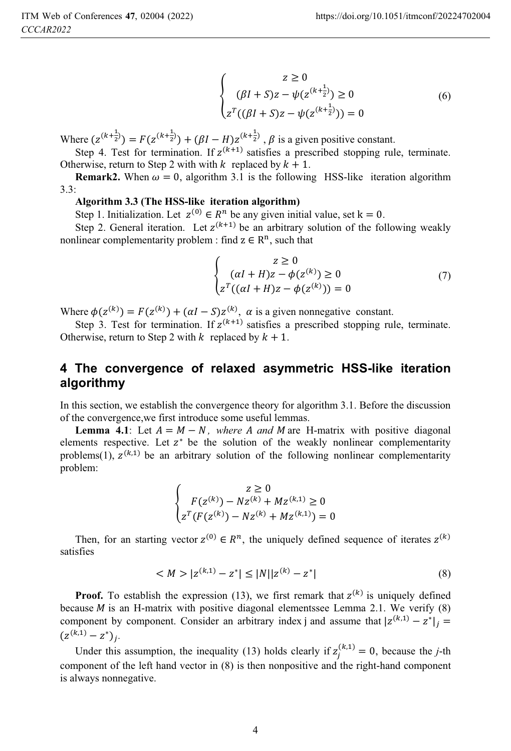$$
\begin{cases}\n z \ge 0 \\
(\beta I + S)z - \psi(z^{(k + \frac{1}{2})}) \ge 0 \\
z^T((\beta I + S)z - \psi(z^{(k + \frac{1}{2})})) = 0\n\end{cases}
$$
\n(6)

Where  $(z^{(k+\frac{1}{2})}) = F(z^{(k+\frac{1}{2})}) + (\beta I - H)z^{(k+\frac{1}{2})}$ ,  $\beta$  is a given positive constant.

Step 4. Test for termination. If  $z^{(k+1)}$  satisfies a prescribed stopping rule, terminate. Otherwise, return to Step 2 with with  $k$  replaced by  $k + 1$ .

**Remark2.** When  $\omega = 0$ , algorithm 3.1 is the following HSS-like iteration algorithm 3.3:

Step 1. Initialization. Let  $z^{(0)} \in \mathbb{R}^n$  be any given initial value, set  $k=0$ .

Step 2. General iteration. Let  $z^{(k+1)}$  be an arbitrary solution of the following weakly nonlinear complementarity problem : find  $z \in \mathbb{R}^n$ , such that

$$
\begin{cases}\n z \ge 0 \\
(aI + H)z - \phi(z^{(k)}) \ge 0 \\
z^T((aI + H)z - \phi(z^{(k)})) = 0\n\end{cases}
$$
\n(7)

Where  $\phi(z^{(k)}) = F(z^{(k)}) + (\alpha I - S)z^{(k)}$ ,  $\alpha$  is a given nonnegative constant.

Step 3. Test for termination. If  $z^{(k+1)}$  satisfies a prescribed stopping rule, terminate. Otherwise, return to Step 2 with  $k$  replaced by  $k + 1$ .

### **4 The convergence of relaxed asymmetric HSS-like iteration algorithmy**

In this section, we establish the convergence theory for algorithm 3.1. Before the discussion of the convergence,we first introduce some useful lemmas.

**Lemma 4.1**: Let  $A = M - N$ , where A and M are H-matrix with positive diagonal elements respective. Let  $z^*$  be the solution of the weakly nonlinear complementarity problems(1),  $z^{(k,1)}$  be an arbitrary solution of the following nonlinear complementarity problem:

$$
\begin{cases} z \geq 0 \\ F(z^{(k)}) - Nz^{(k)} + Mz^{(k,1)} \geq 0 \\ z^T (F(z^{(k)}) - Nz^{(k)} + Mz^{(k,1)}) = 0 \end{cases}
$$

Then, for an starting vector  $z^{(0)} \in R^n$ , the uniquely defined sequence of iterates  $z^{(k)}$ satisfies

$$
\langle M \rangle |z^{(k,1)} - z^*| \le |N||z^{(k)} - z^*| \tag{8}
$$

**Proof.** To establish the expression (13), we first remark that  $z^{(k)}$  is uniquely defined because  $M$  is an H-matrix with positive diagonal elementssee Lemma 2.1. We verify  $(8)$ component by component. Consider an arbitrary index j and assume that  $|z^{(k,1)} - z^*|_i =$  $(z^{(k,1)} - z^*)_i.$ 

Under this assumption, the inequality (13) holds clearly if  $z_i^{(k,1)} = 0$ , because the *j*-th component of the left hand vector in (8) is then nonpositive and the right-hand component is always nonnegative.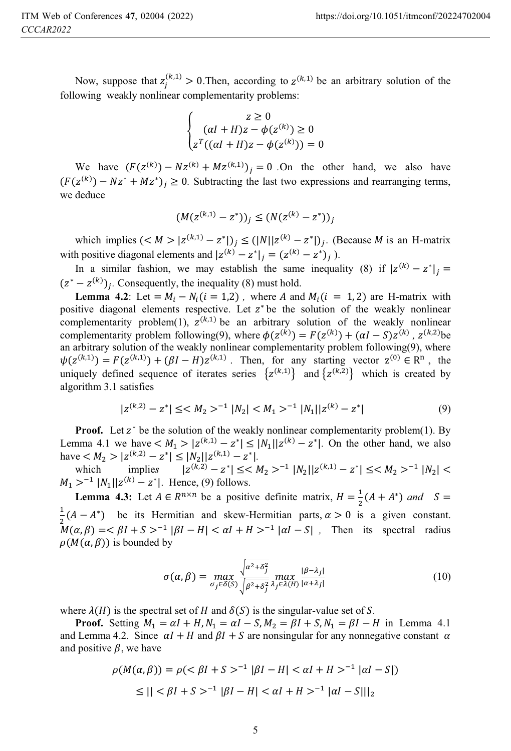Now, suppose that  $z_i^{(k,1)} > 0$ . Then, according to  $z^{(k,1)}$  be an arbitrary solution of the following weakly nonlinear complementarity problems:

$$
\begin{cases}\n z \geq 0 \\
\left(\alpha I + H\right)z - \phi(z^{(k)}) \geq 0 \\
z^T\left((\alpha I + H)z - \phi(z^{(k)})\right) = 0\n\end{cases}
$$

We have  $(F(z^{(k)}) - Nz^{(k)} + Mz^{(k,1)})_i = 0$ . On the other hand, we also have  $(F(z^{(k)}) - Nz^* + Mz^*)_i \ge 0$ . Subtracting the last two expressions and rearranging terms, we deduce

$$
(M(z^{(k,1)} - z^*))_j \le (N(z^{(k)} - z^*))_j
$$

which implies  $(*M* > |z<sup>(k,1)</sup> - z<sup>*</sup>|)<sub>i</sub> \le (|N||z<sup>(k)</sup> - z<sup>*</sup>|)<sub>i</sub>$ . (Because *M* is an H-matrix with positive diagonal elements and  $|z^{(k)} - z^*|_i = (z^{(k)} - z^*)_i$ .

In a similar fashion, we may establish the same inequality (8) if  $|z^{(k)} - z^*|_i =$  $(z^* - z^{(k)})_i$ . Consequently, the inequality (8) must hold.

**Lemma 4.2**: Let =  $M_i - N_i(i = 1,2)$ , where A and  $M_i(i = 1,2)$  are H-matrix with positive diagonal elements respective. Let  $z^*$  be the solution of the weakly nonlinear complementarity problem(1),  $z^{(k,1)}$  be an arbitrary solution of the weakly nonlinear complementarity problem following(9), where  $\phi(z^{(k)}) = F(z^{(k)}) + (\alpha I - S)z^{(k)}$ ,  $z^{(k,2)}$ be an arbitrary solution of the weakly nonlinear complementarity problem following(9), where  $\psi(z^{(k,1)}) = F(z^{(k,1)}) + (\beta I - H)z^{(k,1)}$ . Then, for any starting vector  $z^{(0)} \in \mathbb{R}^n$ , the uniquely defined sequence of iterates series  $\{z^{(k,1)}\}$  and  $\{z^{(k,2)}\}$  which is created by algorithm 3.1 satisfies

$$
|z^{(k,2)} - z^*| \leq ^{-1} |N_2| < M_1>^{-1} |N_1||z^{(k)} - z^*|
$$
 (9)

**Proof.** Let  $z^*$  be the solution of the weakly nonlinear complementarity problem(1). By Lemma 4.1 we have  $\langle M_1 \rangle |z^{(k,1)} - z^*| \leq |N_1||z^{(k)} - z^*|$ . On the other hand, we also have  $\langle M_2 \rangle |z^{(k,2)} - z^*| \leq |N_2||z^{(k,1)} - z^*|$ .

which implies  $|z^{(k,2)} - z^*| \leq M_2 >^{-1} |N_2||z^{(k,1)} - z^*| \leq M_2 >^{-1} |N_2| <$  $M_1 >^{-1} |N_1||z^{(k)} - z^*|$ . Hence, (9) follows.

**Lemma 4.3:** Let  $A \in R^{n \times n}$  be a positive definite matrix,  $H = \frac{1}{2}(A + A^*)$  and  $S =$  $\frac{1}{2}(A - A^*)$  be its Hermitian and skew-Hermitian parts,  $\alpha > 0$  is a given constant.  $M(\alpha, \beta) = \langle \beta I + S \rangle^{-1} |\beta I - H| < \alpha I + H >^{-1} |\alpha I - S|$ , Then its spectral radius  $\rho(M(\alpha, \beta))$  is bounded by

$$
\sigma(\alpha, \beta) = \max_{\sigma_j \in \delta(S)} \frac{\sqrt{\alpha^2 + \delta_j^2}}{\sqrt{\beta^2 + \delta_j^2}} \max_{\lambda_j \in \lambda(H)} \frac{|\beta - \lambda_j|}{|\alpha + \lambda_j|} \tag{10}
$$

where  $\lambda(H)$  is the spectral set of H and  $\delta(S)$  is the singular-value set of S.

**Proof.** Setting  $M_1 = \alpha I + H$ ,  $N_1 = \alpha I - S$ ,  $M_2 = \beta I + S$ ,  $N_1 = \beta I - H$  in Lemma 4.1 and Lemma 4.2. Since  $\alpha I + H$  and  $\beta I + S$  are nonsingular for any nonnegative constant  $\alpha$ and positive  $\beta$ , we have

$$
\rho(M(\alpha, \beta)) = \rho \left( \langle \beta I + S \rangle^{-1} |\beta I - H| < \alpha I + H \rangle^{-1} |\alpha I - S| \right)
$$
\n
$$
\leq || \langle \beta I + S \rangle^{-1} |\beta I - H| < \alpha I + H \rangle^{-1} |\alpha I - S| ||_2
$$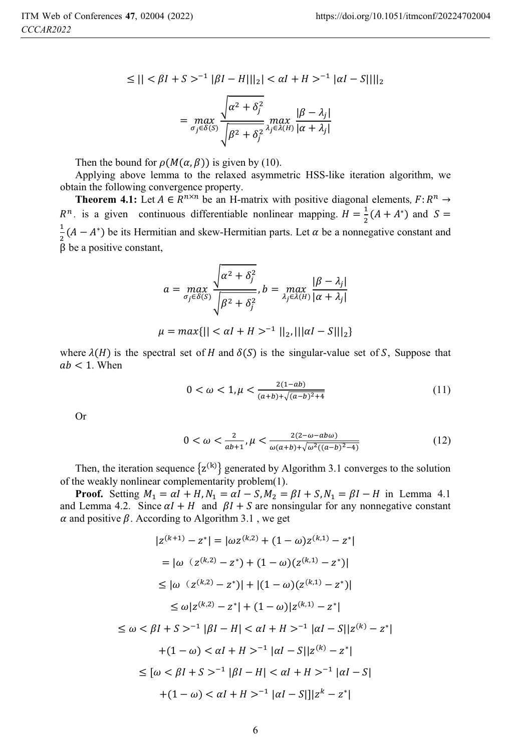$$
\leq || < \beta I + S >^{-1} |\beta I - H||_{2}| < \alpha I + H >^{-1} |\alpha I - S||_{2}
$$

$$
= \max_{\sigma_{j} \in \delta(S)} \frac{\sqrt{\alpha^{2} + \delta_{j}^{2}}}{\sqrt{\beta^{2} + \delta_{j}^{2}}} \max_{\lambda_{j} \in \lambda(H)} \frac{|\beta - \lambda_{j}|}{|\alpha + \lambda_{j}|}
$$

Then the bound for  $\rho(M(\alpha, \beta))$  is given by (10).

Applying above lemma to the relaxed asymmetric HSS-like iteration algorithm, we obtain the following convergence property.

**Theorem 4.1:** Let  $A \in \mathbb{R}^{n \times n}$  be an H-matrix with positive diagonal elements,  $F: \mathbb{R}^n \to$  $R^n$ . is a given continuous differentiable nonlinear mapping.  $H = \frac{1}{2}(A + A^*)$  and  $S =$  $\frac{1}{2}(A - A^*)$  be its Hermitian and skew-Hermitian parts. Let  $\alpha$  be a nonnegative constant and  $\beta$  be a positive constant,

$$
a = \max_{\sigma_j \in \delta(S)} \frac{\sqrt{\alpha^2 + \delta_j^2}}{\sqrt{\beta^2 + \delta_j^2}}, b = \max_{\lambda_j \in \lambda(H)} \frac{|\beta - \lambda_j|}{|\alpha + \lambda_j|}
$$

$$
\mu = \max\{||\langle \alpha I + H \rangle^{-1}||_2, |||\alpha I - S|||_2\}
$$

where  $\lambda(H)$  is the spectral set of H and  $\delta(S)$  is the singular-value set of S, Suppose that  $ab < 1$ . When

$$
0 < \omega < 1, \mu < \frac{2(1 - ab)}{(a + b) + \sqrt{(a - b)^2 + 4}} \tag{11}
$$

Or

$$
0 < \omega < \frac{2}{ab+1}, \mu < \frac{2(2-\omega - ab\omega)}{\omega(a+b) + \sqrt{\omega^2((a-b)^2 - 4)}}\tag{12}
$$

Then, the iteration sequence  $\{z^{(k)}\}$  generated by Algorithm 3.1 converges to the solution of the weakly nonlinear complementarity problem(1).

**Proof.** Setting  $M_1 = \alpha I + H$ ,  $N_1 = \alpha I - S$ ,  $M_2 = \beta I + S$ ,  $N_1 = \beta I - H$  in Lemma 4.1 and Lemma 4.2. Since  $\alpha I + H$  and  $\beta I + S$  are nonsingular for any nonnegative constant  $\alpha$  and positive  $\beta$ . According to Algorithm 3.1, we get

$$
|z^{(k+1)} - z^*| = |\omega z^{(k,2)} + (1 - \omega)z^{(k,1)} - z^*|
$$
  
\n
$$
= |\omega (z^{(k,2)} - z^*) + (1 - \omega)(z^{(k,1)} - z^*)|
$$
  
\n
$$
\leq |\omega (z^{(k,2)} - z^*)| + |(1 - \omega)(z^{(k,1)} - z^*)|
$$
  
\n
$$
\leq \omega |z^{(k,2)} - z^*| + (1 - \omega) |z^{(k,1)} - z^*|
$$
  
\n
$$
\leq \omega < \beta I + S >^{-1} |\beta I - H| < \alpha I + H >^{-1} |\alpha I - S| |z^{(k)} - z^*|
$$
  
\n
$$
+ (1 - \omega) < \alpha I + H >^{-1} |\alpha I - S| |z^{(k)} - z^*|
$$
  
\n
$$
\leq [\omega < \beta I + S >^{-1} |\beta I - H| < \alpha I + H >^{-1} |\alpha I - S|
$$
  
\n
$$
+ (1 - \omega) < \alpha I + H >^{-1} |\alpha I - S| |z^k - z^*|
$$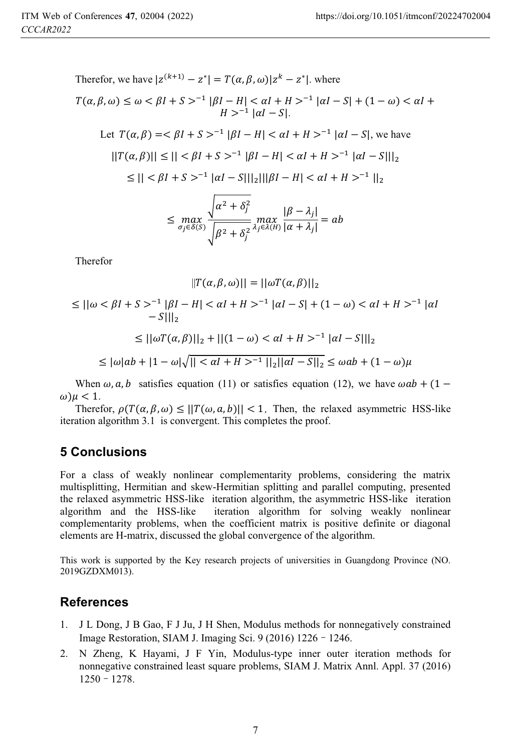Therefore, we have 
$$
|z^{(k+1)} - z^*| = T(\alpha, \beta, \omega)|z^k - z^*|
$$
. where  
\n
$$
T(\alpha, \beta, \omega) \le \omega < \beta I + S >^{-1} |\beta I - H| < \alpha I + H >^{-1} |\alpha I - S| + (1 - \omega) < \alpha I + H >^{-1} |\alpha I - S|.
$$
\nLet  $T(\alpha, \beta) = < \beta I + S >^{-1} |\beta I - H| < \alpha I + H >^{-1} |\alpha I - S|$ , we have  
\n
$$
||T(\alpha, \beta)|| \le || < \beta I + S >^{-1} |\beta I - H| < \alpha I + H >^{-1} |\alpha I - S||_2
$$
\n
$$
\le || < \beta I + S >^{-1} |\alpha I - S||_2 ||\beta I - H| < \alpha I + H >^{-1} ||_2
$$
\n
$$
\le \max_{\sigma_j \in \delta(S)} \frac{\sqrt{\alpha^2 + \delta_j^2}}{\sqrt{\beta^2 + \delta_j^2}} \max_{\lambda_j \in \lambda(H)} \frac{|\beta - \lambda_j|}{|\alpha + \lambda_j|} = ab
$$

Therefor

$$
||T(\alpha, \beta, \omega)|| = ||\omega T(\alpha, \beta)||_2
$$
  
\n
$$
\leq ||\omega < \beta I + S >^{-1} |\beta I - H| < \alpha I + H >^{-1} |\alpha I - S| + (1 - \omega) < \alpha I + H >^{-1} |\alpha I - S||_2
$$
  
\n
$$
\leq ||\omega T(\alpha, \beta)||_2 + ||(1 - \omega) < \alpha I + H >^{-1} |\alpha I - S||_2
$$
  
\n
$$
\leq |\omega|ab + |1 - \omega|\sqrt{||<\alpha I + H>^{-1}||_2||\alpha I - S||_2} \leq \omega ab + (1 - \omega)\mu
$$

 $\frac{1}{2}$   $\frac{1}{2}$   $\frac{1}{2}$   $\frac{1}{2}$   $\frac{1}{2}$   $\frac{1}{2}$   $\frac{1}{2}$   $\frac{1}{2}$   $\frac{1}{2}$   $\frac{1}{2}$   $\frac{1}{2}$   $\frac{1}{2}$   $\frac{1}{2}$   $\frac{1}{2}$   $\frac{1}{2}$   $\frac{1}{2}$   $\frac{1}{2}$   $\frac{1}{2}$   $\frac{1}{2}$   $\frac{1}{2}$   $\frac{1}{2}$   $\frac{1}{2}$ 

When  $\omega$ ,  $a$ ,  $b$  satisfies equation (11) or satisfies equation (12), we have  $\omega ab + (1 \omega$ ) $\mu$  < 1.

Therefor,  $\rho(T(\alpha, \beta, \omega) \leq ||T(\omega, a, b)|| < 1$ , Then, the relaxed asymmetric HSS-like iteration algorithm 3.1 is convergent. This completes the proof.

## **5 Conclusions**

For a class of weakly nonlinear complementarity problems, considering the matrix multisplitting, Hermitian and skew-Hermitian splitting and parallel computing, presented the relaxed asymmetric HSS-like iteration algorithm, the asymmetric HSS-like iteration algorithm and the HSS-like iteration algorithm for solving weakly nonlinear complementarity problems, when the coefficient matrix is positive definite or diagonal elements are H-matrix, discussed the global convergence of the algorithm.

This work is supported by the Key research projects of universities in Guangdong Province (NO. 2019GZDXM013).

### **References**

- 1. J L Dong, J B Gao, F J Ju, J H Shen, Modulus methods for nonnegatively constrained Image Restoration, SIAM J. Imaging Sci. 9 (2016) 1226 - 1246.
- 2. N Zheng, K Hayami, J F Yin, Modulus-type inner outer iteration methods for nonnegative constrained least square problems, SIAM J. Matrix Annl. Appl. 37 (2016)  $1250 - 1278$ .